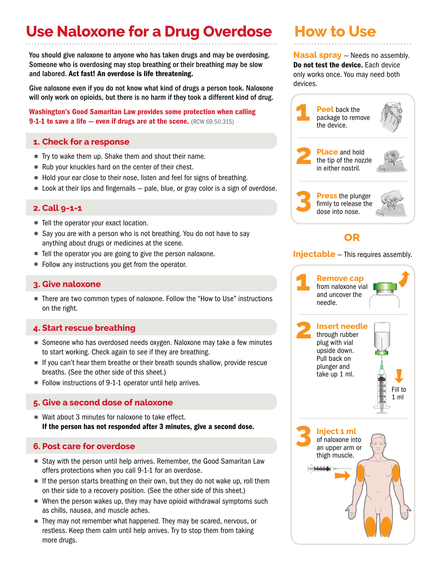# **Use Naloxone for a Drug Overdose**

You should give naloxone to anyone who has taken drugs and may be overdosing. Someone who is overdosing may stop breathing or their breathing may be slow and labored. Act fast! An overdose is life threatening.

Give naloxone even if you do not know what kind of drugs a person took. Naloxone will only work on opioids, but there is no harm if they took a different kind of drug.

Washington's Good Samaritan Law provides some protection when calling **9-1-1 to save a life — even if drugs are at the scene.** (RCW 69.50.315)

# **1. Check for a response**

- Try to wake them up. Shake them and shout their name.
- Rub your knuckles hard on the center of their chest.
- Hold your ear close to their nose, listen and feel for signs of breathing.
- Look at their lips and fingernails pale, blue, or gray color is a sign of overdose.

## **2. Call 9-1-1**

- Tell the operator your exact location.
- Say you are with a person who is not breathing. You do not have to say anything about drugs or medicines at the scene.
- Tell the operator you are going to give the person naloxone.
- Follow any instructions you get from the operator.

#### **3. Give naloxone**

• There are two common types of naloxone. Follow the "How to Use" instructions on the right.

## **4. Start rescue breathing**

- Someone who has overdosed needs oxygen. Naloxone may take a few minutes to start working. Check again to see if they are breathing.
- If you can't hear them breathe or their breath sounds shallow, provide rescue breaths. (See the other side of this sheet.)
- Follow instructions of 9-1-1 operator until help arrives.

# **5. Give a second dose of naloxone**

• Wait about 3 minutes for naloxone to take effect. If the person has not responded after 3 minutes, give a second dose.

## **6. Post care for overdose**

- Stay with the person until help arrives. Remember, the Good Samaritan Law offers protections when you call 9-1-1 for an overdose.
- If the person starts breathing on their own, but they do not wake up, roll them on their side to a recovery position. (See the other side of this sheet.)
- When the person wakes up, they may have opioid withdrawal symptoms such as chills, nausea, and muscle aches.
- They may not remember what happened. They may be scared, nervous, or restless. Keep them calm until help arrives. Try to stop them from taking more drugs.

# **How to Use**

**Nasal spray** — Needs no assembly. Do not test the device. Each device only works once. You may need both devices.



#### **Injectable** – This requires assembly.